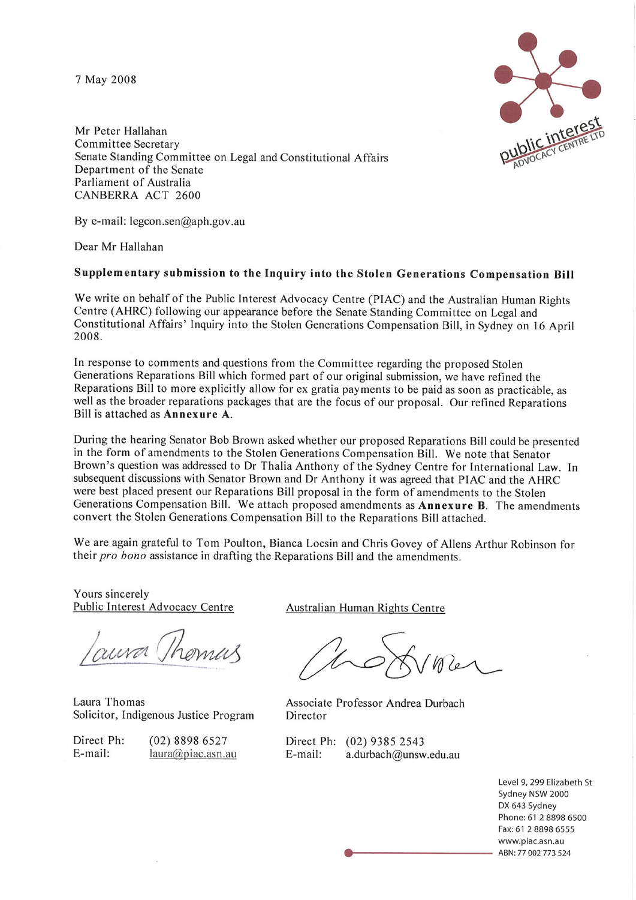7 May 2008



Mr Peter Hallahan Committee Secretary Senate Standing Committee on Legal and Constitutional Affairs Department of the Senate Parliament of Australia CANBERRA ACT 2600

By e-mail:  $legcon.sen@aph.gov.au$ 

Dear Mr Hallahan

#### Supplementary submission to the Inquiry into the Stolen Generations Compensation Bill

We write on behalf of the Public Interest Advocacy Centre (PIAC) and the Australian Human Rights Centre (AHRC) following our appearance before the Senate Standing Committee on Legal and Constitutional Affairs' Inquiry into the Stolen Generations Compensation Bill, in Sydney on 16 April 2008.

In response to comments and questions from the Committee regarding the proposed Stolen Generations Reparations Bill which formed part of our original submission, we have refined the Reparations Bill to more explicitly allow for ex gratia payments to be paid as soon as practicable, as well as the broader reparations packages that are the focus of our proposal. Our refined Reparations Bill is attached as Annexure A.

During the hearing Senator Bob Brown asked whether our proposed Reparations Bill could be presented in the form of amendments to the Stolen Generations Compensation Bill. We note that Senator Brown's question was addressed to Dr Thalia Anthony of the Sydney Centre for International Law. In subsequent discussions with Senator Brown and Dr Anthony it was agreed that PIAC and the AHRC were best placed present our Reparations Bill proposal in the form of amendments to the Stolen Generations Compensation Bill. We attach proposed amendments as Annexure B. The amendments convert the Stolen Generations Compensation Bill to the Reparations Bill attached.

We are again grateful to Tom Poulton, Bianca Locsin and Chris Govey of Allens Arthur Robinson for their pro bono assistance in drafting the Reparations Bill and the amendments.

Yours sincerely Public Interest Advocacy Centre

mirral

Laura Thomas Solicitor, Indigenous Justice Program

Direct Ph: E-mail:

 $(02) 8898 6527$  $laura(\omega)piac.asn.au$  Australian Human Rights Centre

Associate Professor Andrea Durbach Director

Direct Ph: (02) 9385 2543 E-mail: a.durbach@unsw.edu.au

> Level 9, 299 Elizabeth St Sydney NSW 2000 DX 643 Sydney Phone: 61 2 8898 6500 Fax: 61 2 8898 6555 www.piac.asn.au ABN: 77 002 773 524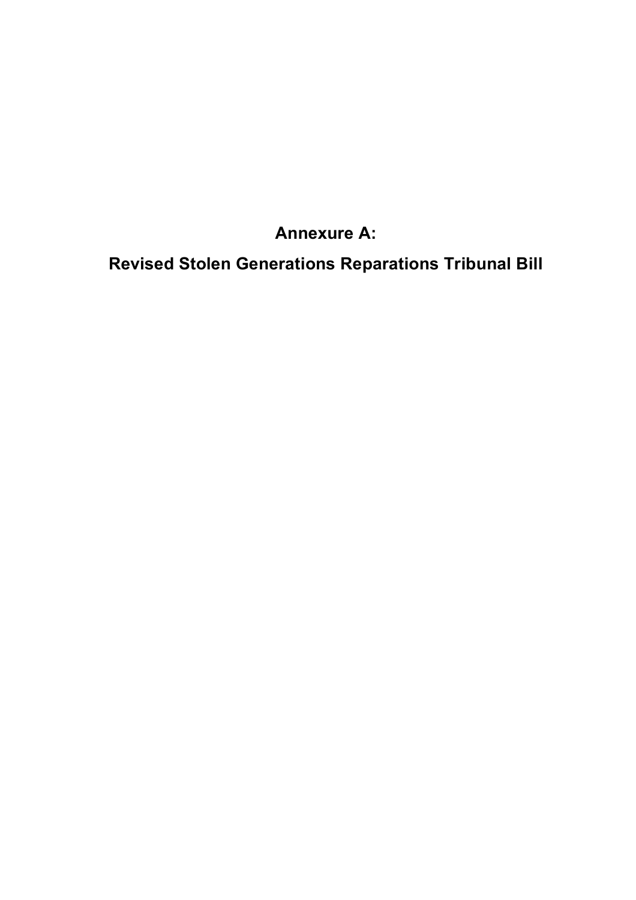# **Annexure A:**

**Revised Stolen Generations Reparations Tribunal Bill**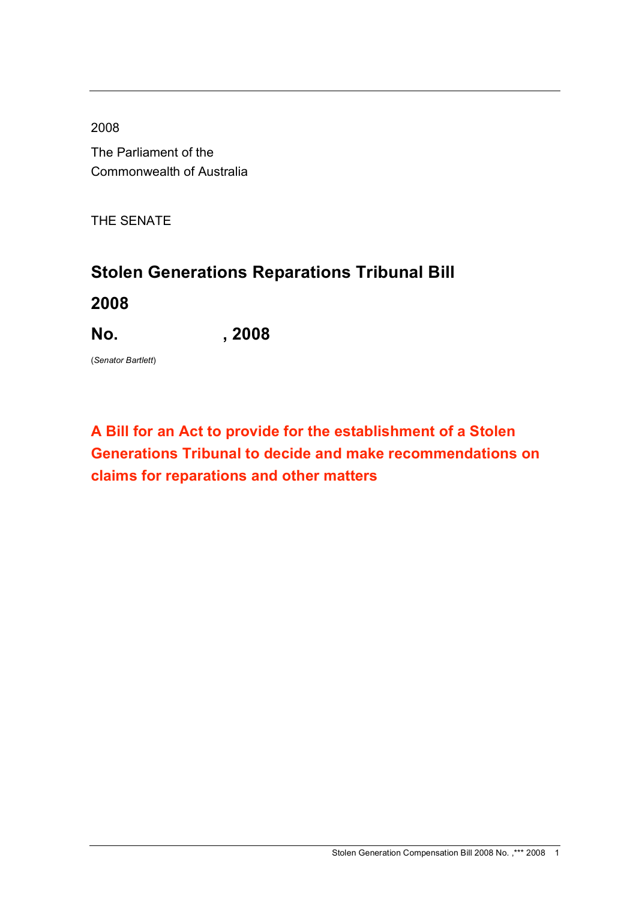2008

The Parliament of the Commonwealth of Australia

THE SENATE

# **Stolen Generations Reparations Tribunal Bill**

**2008**

**No. , 2008**

(*Senator Bartlett*)

# **A Bill for an Act to provide for the establishment of a Stolen Generations Tribunal to decide and make recommendations on claims for reparations and other matters**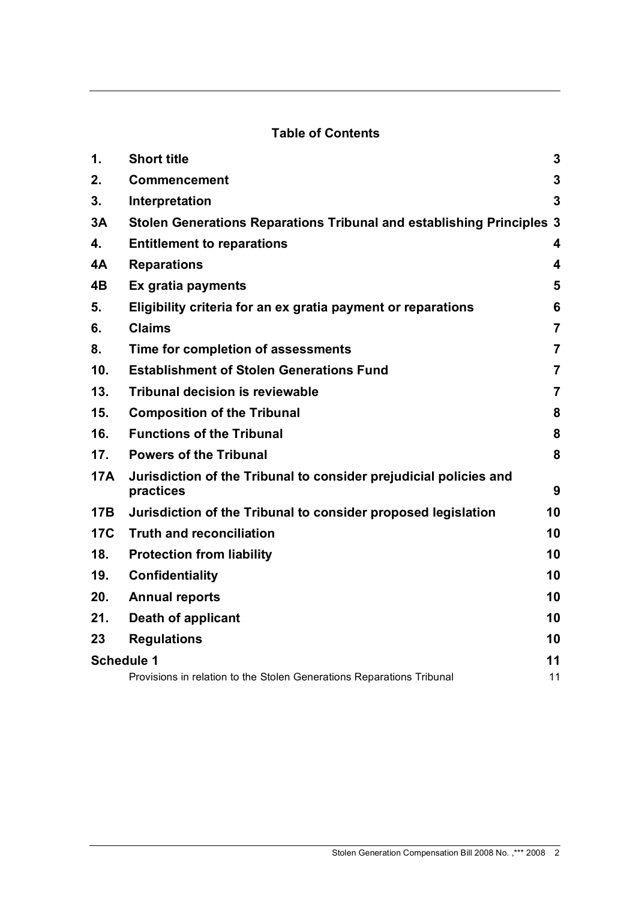# **Table of Contents**

| $\mathbf 1$ . | <b>Short title</b>                                                             | 3                       |  |  |
|---------------|--------------------------------------------------------------------------------|-------------------------|--|--|
| 2.            | 3<br><b>Commencement</b>                                                       |                         |  |  |
| 3.            | Interpretation                                                                 |                         |  |  |
| 3A            | Stolen Generations Reparations Tribunal and establishing Principles 3          |                         |  |  |
| 4.            | <b>Entitlement to reparations</b><br>$\overline{\mathbf{4}}$                   |                         |  |  |
| 4A            | <b>Reparations</b>                                                             | $\overline{\mathbf{4}}$ |  |  |
| 4B            | 5<br>Ex gratia payments                                                        |                         |  |  |
| 5.            | 6<br>Eligibility criteria for an ex gratia payment or reparations              |                         |  |  |
| 6.            | <b>Claims</b><br>$\overline{7}$                                                |                         |  |  |
| 8.            | Time for completion of assessments                                             | $\overline{7}$          |  |  |
| 10.           | <b>Establishment of Stolen Generations Fund</b>                                | $\overline{7}$          |  |  |
| 13.           | <b>Tribunal decision is reviewable</b>                                         | $\overline{7}$          |  |  |
| 15.           | <b>Composition of the Tribunal</b>                                             | 8                       |  |  |
| 16.           | <b>Functions of the Tribunal</b>                                               | 8                       |  |  |
| 17.           | <b>Powers of the Tribunal</b>                                                  | 8                       |  |  |
| <b>17A</b>    | Jurisdiction of the Tribunal to consider prejudicial policies and<br>practices | 9                       |  |  |
| <b>17B</b>    | Jurisdiction of the Tribunal to consider proposed legislation                  | 10                      |  |  |
| <b>17C</b>    | <b>Truth and reconciliation</b>                                                | 10                      |  |  |
| 18.           | <b>Protection from liability</b>                                               | 10                      |  |  |
| 19.           | Confidentiality                                                                | 10                      |  |  |
| 20.           | <b>Annual reports</b>                                                          | 10                      |  |  |
| 21.           | Death of applicant                                                             | 10                      |  |  |
| 23            | <b>Regulations</b>                                                             | 10                      |  |  |
|               | <b>Schedule 1</b><br>11                                                        |                         |  |  |
|               | Provisions in relation to the Stolen Generations Reparations Tribunal          | 11                      |  |  |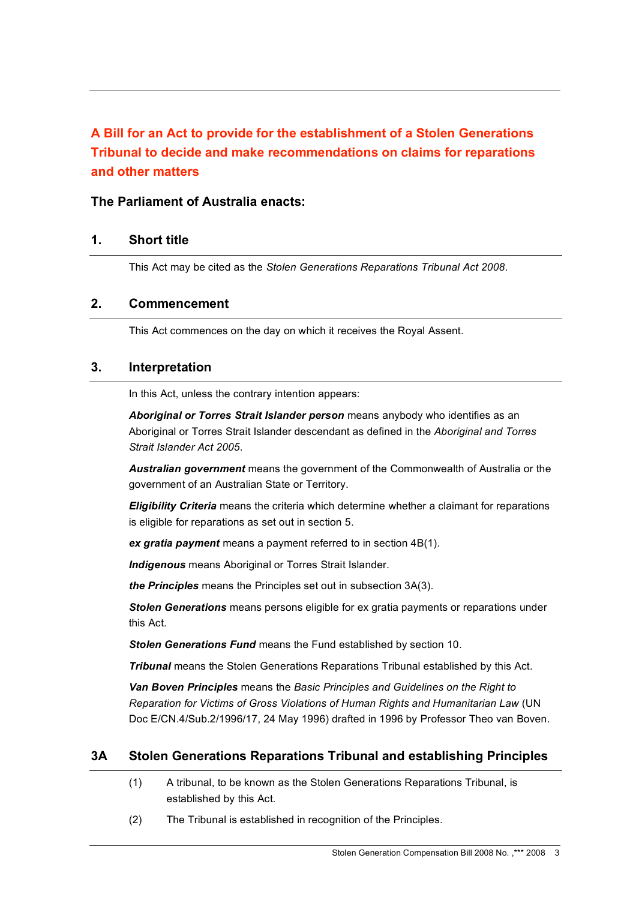# **A Bill for an Act to provide for the establishment of a Stolen Generations Tribunal to decide and make recommendations on claims for reparations and other matters**

# **The Parliament of Australia enacts:**

# **1. Short title**

This Act may be cited as the *Stolen Generations Reparations Tribunal Act 2008*.

#### **2. Commencement**

This Act commences on the day on which it receives the Royal Assent.

#### **3. Interpretation**

In this Act, unless the contrary intention appears:

*Aboriginal or Torres Strait Islander person* means anybody who identifies as an Aboriginal or Torres Strait Islander descendant as defined in the *Aboriginal and Torres Strait Islander Act 2005*.

*Australian government* means the government of the Commonwealth of Australia or the government of an Australian State or Territory.

*Eligibility Criteria* means the criteria which determine whether a claimant for reparations is eligible for reparations as set out in section 5.

*ex gratia payment* means a payment referred to in section 4B(1).

*Indigenous* means Aboriginal or Torres Strait Islander.

*the Principles* means the Principles set out in subsection 3A(3).

*Stolen Generations* means persons eligible for ex gratia payments or reparations under this Act.

*Stolen Generations Fund* means the Fund established by section 10.

*Tribunal* means the Stolen Generations Reparations Tribunal established by this Act.

*Van Boven Principles* means the *Basic Principles and Guidelines on the Right to Reparation for Victims of Gross Violations of Human Rights and Humanitarian Law* (UN Doc E/CN.4/Sub.2/1996/17, 24 May 1996) drafted in 1996 by Professor Theo van Boven.

#### **3A Stolen Generations Reparations Tribunal and establishing Principles**

- (1) A tribunal, to be known as the Stolen Generations Reparations Tribunal, is established by this Act.
- (2) The Tribunal is established in recognition of the Principles.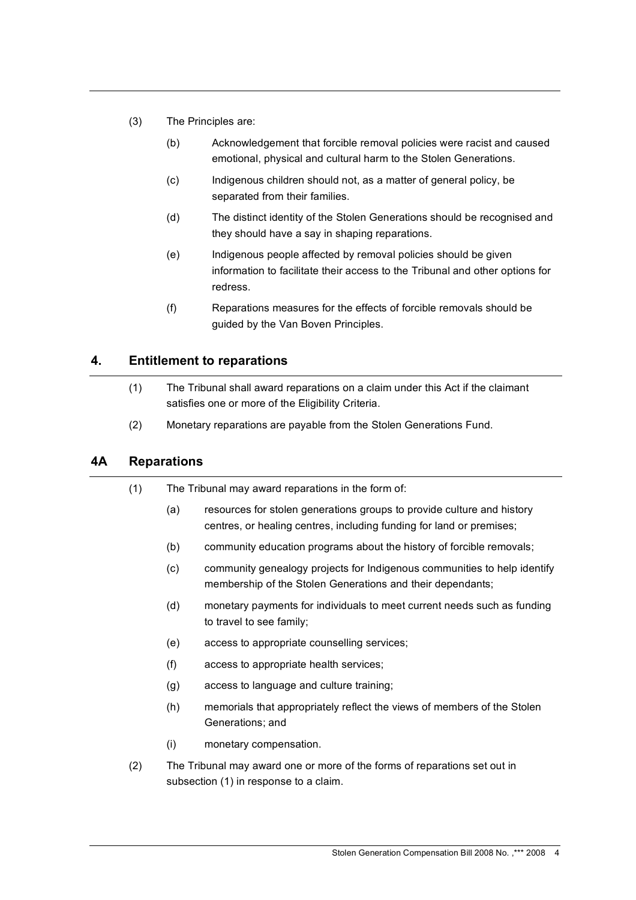- (3) The Principles are:
	- (b) Acknowledgement that forcible removal policies were racist and caused emotional, physical and cultural harm to the Stolen Generations.
	- (c) Indigenous children should not, as a matter of general policy, be separated from their families.
	- (d) The distinct identity of the Stolen Generations should be recognised and they should have a say in shaping reparations.
	- (e) Indigenous people affected by removal policies should be given information to facilitate their access to the Tribunal and other options for redress.
	- (f) Reparations measures for the effects of forcible removals should be guided by the Van Boven Principles.

# **4. Entitlement to reparations**

- (1) The Tribunal shall award reparations on a claim under this Act if the claimant satisfies one or more of the Eligibility Criteria.
- (2) Monetary reparations are payable from the Stolen Generations Fund.

#### **4A Reparations**

| (1) | The Tribunal may award reparations in the form of:                                                                  |                                                                                                                                                |  |  |
|-----|---------------------------------------------------------------------------------------------------------------------|------------------------------------------------------------------------------------------------------------------------------------------------|--|--|
|     | (a)                                                                                                                 | resources for stolen generations groups to provide culture and history<br>centres, or healing centres, including funding for land or premises; |  |  |
|     | (b)                                                                                                                 | community education programs about the history of forcible removals;                                                                           |  |  |
|     | (c)                                                                                                                 | community genealogy projects for Indigenous communities to help identify<br>membership of the Stolen Generations and their dependants;         |  |  |
|     | (d)                                                                                                                 | monetary payments for individuals to meet current needs such as funding<br>to travel to see family;                                            |  |  |
|     | (e)                                                                                                                 | access to appropriate counselling services;                                                                                                    |  |  |
|     | (f)                                                                                                                 | access to appropriate health services;                                                                                                         |  |  |
|     | (g)                                                                                                                 | access to language and culture training;                                                                                                       |  |  |
|     | (h)                                                                                                                 | memorials that appropriately reflect the views of members of the Stolen<br>Generations; and                                                    |  |  |
|     | (i)                                                                                                                 | monetary compensation.                                                                                                                         |  |  |
| (2) | The Tribunal may award one or more of the forms of reparations set out in<br>subsection (1) in response to a claim. |                                                                                                                                                |  |  |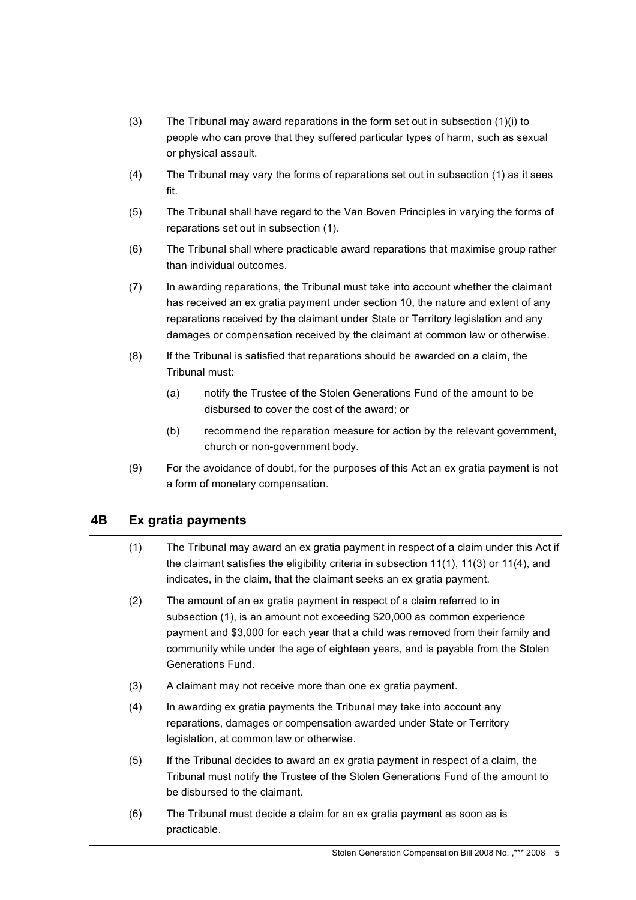- (3) The Tribunal may award reparations in the form set out in subsection (1)(i) to people who can prove that they suffered particular types of harm, such as sexual or physical assault.
- (4) The Tribunal may vary the forms of reparations set out in subsection (1) as it sees fit.
- (5) The Tribunal shall have regard to the Van Boven Principles in varying the forms of reparations set out in subsection (1).
- (6) The Tribunal shall where practicable award reparations that maximise group rather than individual outcomes.
- (7) In awarding reparations, the Tribunal must take into account whether the claimant has received an ex gratia payment under section 10, the nature and extent of any reparations received by the claimant under State or Territory legislation and any damages or compensation received by the claimant at common law or otherwise.
- (8) If the Tribunal is satisfied that reparations should be awarded on a claim, the Tribunal must:
	- (a) notify the Trustee of the Stolen Generations Fund of the amount to be disbursed to cover the cost of the award; or
	- (b) recommend the reparation measure for action by the relevant government, church or non-government body.
- (9) For the avoidance of doubt, for the purposes of this Act an ex gratia payment is not a form of monetary compensation.

# **4B Ex gratia payments**

- (1) The Tribunal may award an ex gratia payment in respect of a claim under this Act if the claimant satisfies the eligibility criteria in subsection 11(1), 11(3) or 11(4), and indicates, in the claim, that the claimant seeks an ex gratia payment.
- (2) The amount of an ex gratia payment in respect of a claim referred to in subsection (1), is an amount not exceeding \$20,000 as common experience payment and \$3,000 for each year that a child was removed from their family and community while under the age of eighteen years, and is payable from the Stolen Generations Fund.
- (3) A claimant may not receive more than one ex gratia payment.
- (4) In awarding ex gratia payments the Tribunal may take into account any reparations, damages or compensation awarded under State or Territory legislation, at common law or otherwise.
- (5) If the Tribunal decides to award an ex gratia payment in respect of a claim, the Tribunal must notify the Trustee of the Stolen Generations Fund of the amount to be disbursed to the claimant.
- (6) The Tribunal must decide a claim for an ex gratia payment as soon as is practicable.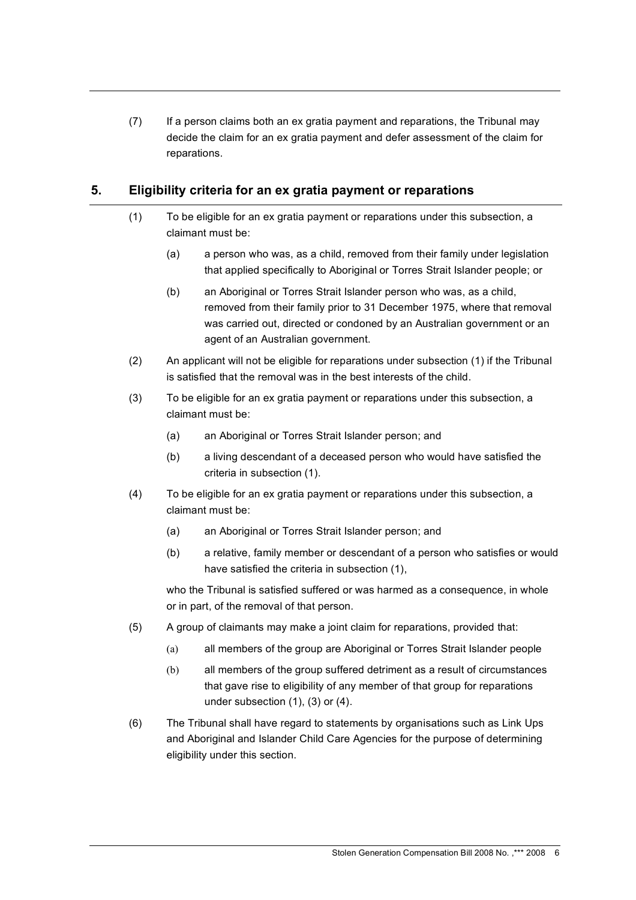(7) If a person claims both an ex gratia payment and reparations, the Tribunal may decide the claim for an ex gratia payment and defer assessment of the claim for reparations.

# **5. Eligibility criteria for an ex gratia payment or reparations**

- (1) To be eligible for an ex gratia payment or reparations under this subsection, a claimant must be:
	- (a) a person who was, as a child, removed from their family under legislation that applied specifically to Aboriginal or Torres Strait Islander people; or
	- (b) an Aboriginal or Torres Strait Islander person who was, as a child, removed from their family prior to 31 December 1975, where that removal was carried out, directed or condoned by an Australian government or an agent of an Australian government.
- (2) An applicant will not be eligible for reparations under subsection (1) if the Tribunal is satisfied that the removal was in the best interests of the child.
- (3) To be eligible for an ex gratia payment or reparations under this subsection, a claimant must be:
	- (a) an Aboriginal or Torres Strait Islander person; and
	- (b) a living descendant of a deceased person who would have satisfied the criteria in subsection (1).
- (4) To be eligible for an ex gratia payment or reparations under this subsection, a claimant must be:
	- (a) an Aboriginal or Torres Strait Islander person; and
	- (b) a relative, family member or descendant of a person who satisfies or would have satisfied the criteria in subsection (1),

who the Tribunal is satisfied suffered or was harmed as a consequence, in whole or in part, of the removal of that person.

- (5) A group of claimants may make a joint claim for reparations, provided that:
	- (a) all members of the group are Aboriginal or Torres Strait Islander people
	- (b) all members of the group suffered detriment as a result of circumstances that gave rise to eligibility of any member of that group for reparations under subsection (1), (3) or (4).
- (6) The Tribunal shall have regard to statements by organisations such as Link Ups and Aboriginal and Islander Child Care Agencies for the purpose of determining eligibility under this section.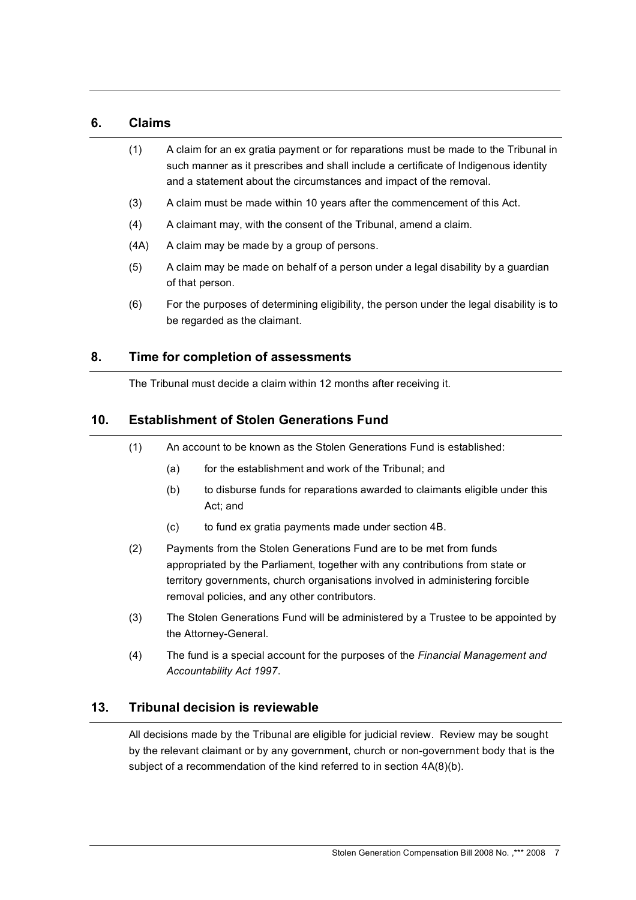# **6. Claims**

- (1) A claim for an ex gratia payment or for reparations must be made to the Tribunal in such manner as it prescribes and shall include a certificate of Indigenous identity and a statement about the circumstances and impact of the removal.
- (3) A claim must be made within 10 years after the commencement of this Act.
- (4) A claimant may, with the consent of the Tribunal, amend a claim.
- (4A) A claim may be made by a group of persons.
- (5) A claim may be made on behalf of a person under a legal disability by a guardian of that person.
- (6) For the purposes of determining eligibility, the person under the legal disability is to be regarded as the claimant.

# **8. Time for completion of assessments**

The Tribunal must decide a claim within 12 months after receiving it.

# **10. Establishment of Stolen Generations Fund**

- (1) An account to be known as the Stolen Generations Fund is established:
	- (a) for the establishment and work of the Tribunal; and
	- (b) to disburse funds for reparations awarded to claimants eligible under this Act; and
	- (c) to fund ex gratia payments made under section 4B.
- (2) Payments from the Stolen Generations Fund are to be met from funds appropriated by the Parliament, together with any contributions from state or territory governments, church organisations involved in administering forcible removal policies, and any other contributors.
- (3) The Stolen Generations Fund will be administered by a Trustee to be appointed by the Attorney-General.
- (4) The fund is a special account for the purposes of the *Financial Management and Accountability Act 1997*.

#### **13. Tribunal decision is reviewable**

All decisions made by the Tribunal are eligible for judicial review. Review may be sought by the relevant claimant or by any government, church or non-government body that is the subject of a recommendation of the kind referred to in section 4A(8)(b).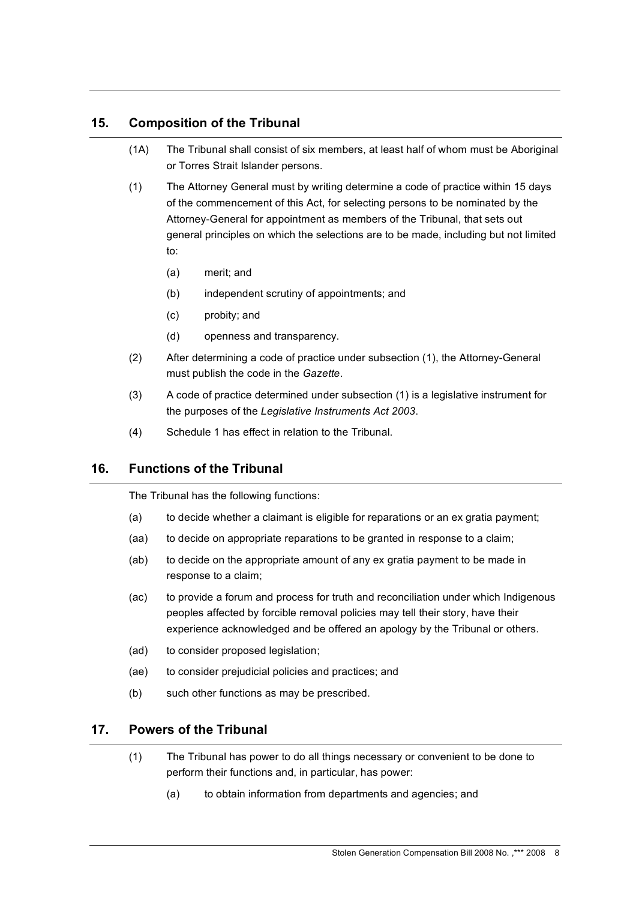# **15. Composition of the Tribunal**

- (1A) The Tribunal shall consist of six members, at least half of whom must be Aboriginal or Torres Strait Islander persons.
- (1) The Attorney General must by writing determine a code of practice within 15 days of the commencement of this Act, for selecting persons to be nominated by the Attorney-General for appointment as members of the Tribunal, that sets out general principles on which the selections are to be made, including but not limited to:
	- (a) merit; and
	- (b) independent scrutiny of appointments; and
	- (c) probity; and
	- (d) openness and transparency.
- (2) After determining a code of practice under subsection (1), the Attorney-General must publish the code in the *Gazette*.
- (3) A code of practice determined under subsection (1) is a legislative instrument for the purposes of the *Legislative Instruments Act 2003*.
- (4) Schedule 1 has effect in relation to the Tribunal.

# **16. Functions of the Tribunal**

The Tribunal has the following functions:

- (a) to decide whether a claimant is eligible for reparations or an ex gratia payment;
- (aa) to decide on appropriate reparations to be granted in response to a claim;
- (ab) to decide on the appropriate amount of any ex gratia payment to be made in response to a claim;
- (ac) to provide a forum and process for truth and reconciliation under which Indigenous peoples affected by forcible removal policies may tell their story, have their experience acknowledged and be offered an apology by the Tribunal or others.
- (ad) to consider proposed legislation;
- (ae) to consider prejudicial policies and practices; and
- (b) such other functions as may be prescribed.

# **17. Powers of the Tribunal**

- (1) The Tribunal has power to do all things necessary or convenient to be done to perform their functions and, in particular, has power:
	- (a) to obtain information from departments and agencies; and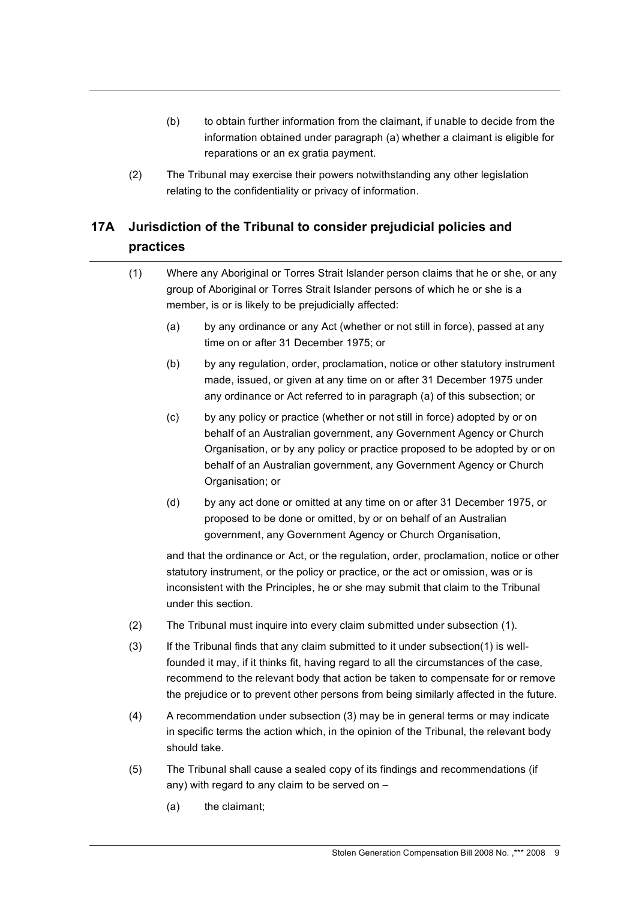- (b) to obtain further information from the claimant, if unable to decide from the information obtained under paragraph (a) whether a claimant is eligible for reparations or an ex gratia payment.
- (2) The Tribunal may exercise their powers notwithstanding any other legislation relating to the confidentiality or privacy of information.

# **17A Jurisdiction of the Tribunal to consider prejudicial policies and practices**

- (1) Where any Aboriginal or Torres Strait Islander person claims that he or she, or any group of Aboriginal or Torres Strait Islander persons of which he or she is a member, is or is likely to be prejudicially affected:
	- (a) by any ordinance or any Act (whether or not still in force), passed at any time on or after 31 December 1975; or
	- (b) by any regulation, order, proclamation, notice or other statutory instrument made, issued, or given at any time on or after 31 December 1975 under any ordinance or Act referred to in paragraph (a) of this subsection; or
	- (c) by any policy or practice (whether or not still in force) adopted by or on behalf of an Australian government, any Government Agency or Church Organisation, or by any policy or practice proposed to be adopted by or on behalf of an Australian government, any Government Agency or Church Organisation; or
	- (d) by any act done or omitted at any time on or after 31 December 1975, or proposed to be done or omitted, by or on behalf of an Australian government, any Government Agency or Church Organisation,

and that the ordinance or Act, or the regulation, order, proclamation, notice or other statutory instrument, or the policy or practice, or the act or omission, was or is inconsistent with the Principles, he or she may submit that claim to the Tribunal under this section.

- (2) The Tribunal must inquire into every claim submitted under subsection (1).
- (3) If the Tribunal finds that any claim submitted to it under subsection(1) is wellfounded it may, if it thinks fit, having regard to all the circumstances of the case, recommend to the relevant body that action be taken to compensate for or remove the prejudice or to prevent other persons from being similarly affected in the future.
- (4) A recommendation under subsection (3) may be in general terms or may indicate in specific terms the action which, in the opinion of the Tribunal, the relevant body should take.
- (5) The Tribunal shall cause a sealed copy of its findings and recommendations (if any) with regard to any claim to be served on –
	- (a) the claimant;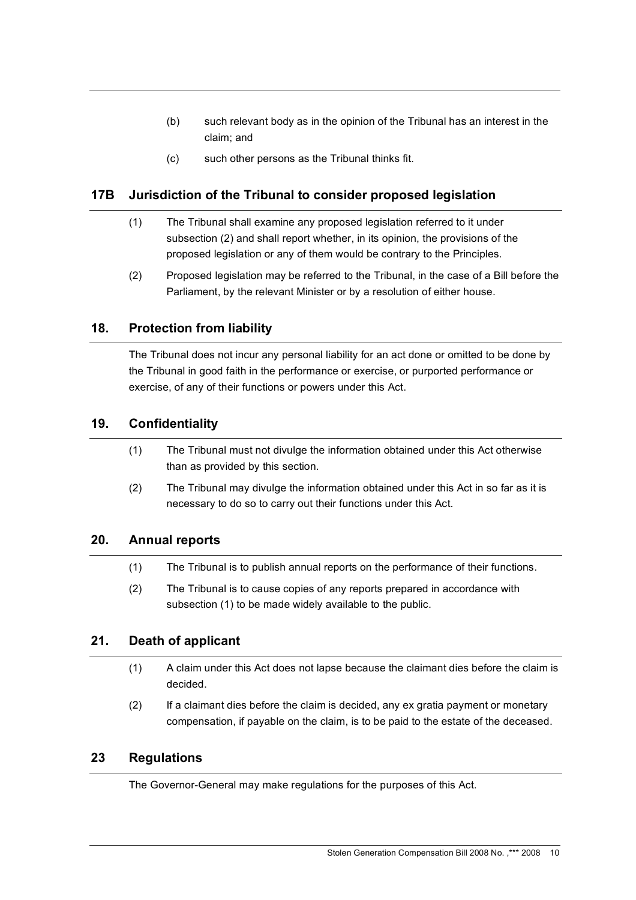- (b) such relevant body as in the opinion of the Tribunal has an interest in the claim; and
- (c) such other persons as the Tribunal thinks fit.

# **17B Jurisdiction of the Tribunal to consider proposed legislation**

- (1) The Tribunal shall examine any proposed legislation referred to it under subsection (2) and shall report whether, in its opinion, the provisions of the proposed legislation or any of them would be contrary to the Principles.
- (2) Proposed legislation may be referred to the Tribunal, in the case of a Bill before the Parliament, by the relevant Minister or by a resolution of either house.

# **18. Protection from liability**

The Tribunal does not incur any personal liability for an act done or omitted to be done by the Tribunal in good faith in the performance or exercise, or purported performance or exercise, of any of their functions or powers under this Act.

# **19. Confidentiality**

- (1) The Tribunal must not divulge the information obtained under this Act otherwise than as provided by this section.
- (2) The Tribunal may divulge the information obtained under this Act in so far as it is necessary to do so to carry out their functions under this Act.

#### **20. Annual reports**

- (1) The Tribunal is to publish annual reports on the performance of their functions.
- (2) The Tribunal is to cause copies of any reports prepared in accordance with subsection (1) to be made widely available to the public.

# **21. Death of applicant**

- (1) A claim under this Act does not lapse because the claimant dies before the claim is decided.
- (2) If a claimant dies before the claim is decided, any ex gratia payment or monetary compensation, if payable on the claim, is to be paid to the estate of the deceased.

#### **23 Regulations**

The Governor-General may make regulations for the purposes of this Act.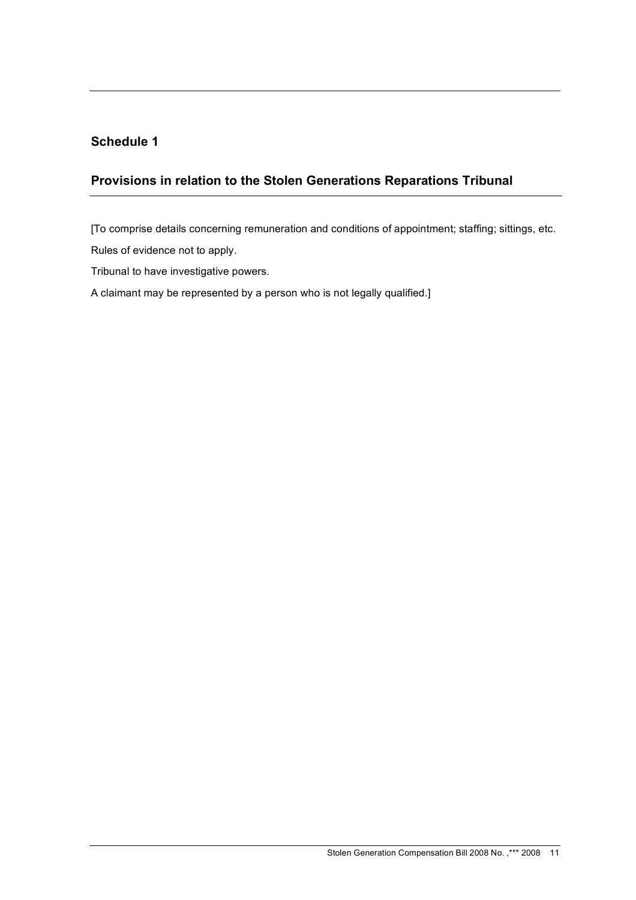# **Schedule 1**

# **Provisions in relation to the Stolen Generations Reparations Tribunal**

[To comprise details concerning remuneration and conditions of appointment; staffing; sittings, etc.

Rules of evidence not to apply.

Tribunal to have investigative powers.

A claimant may be represented by a person who is not legally qualified.]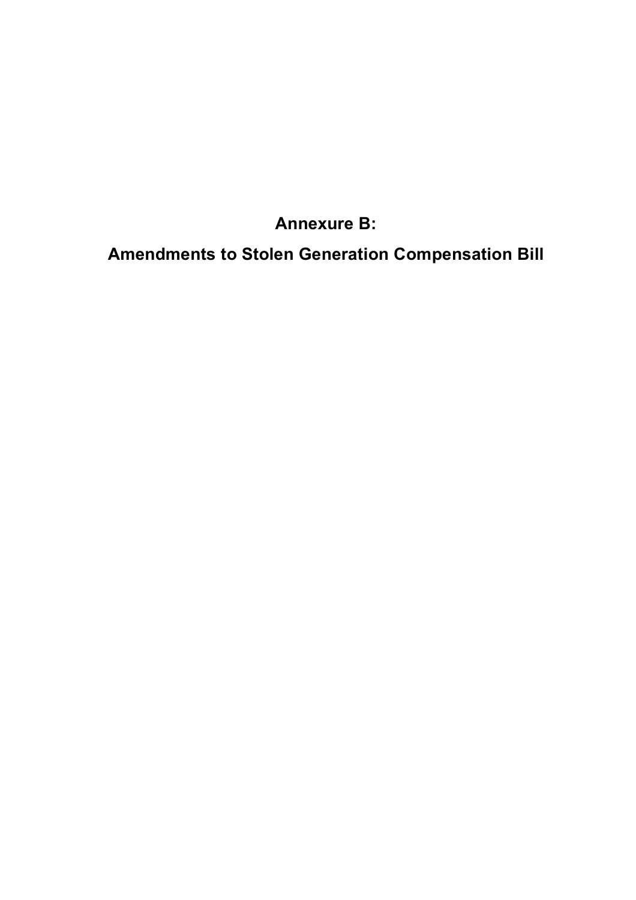# **Annexure B:**

**Amendments to Stolen Generation Compensation Bill**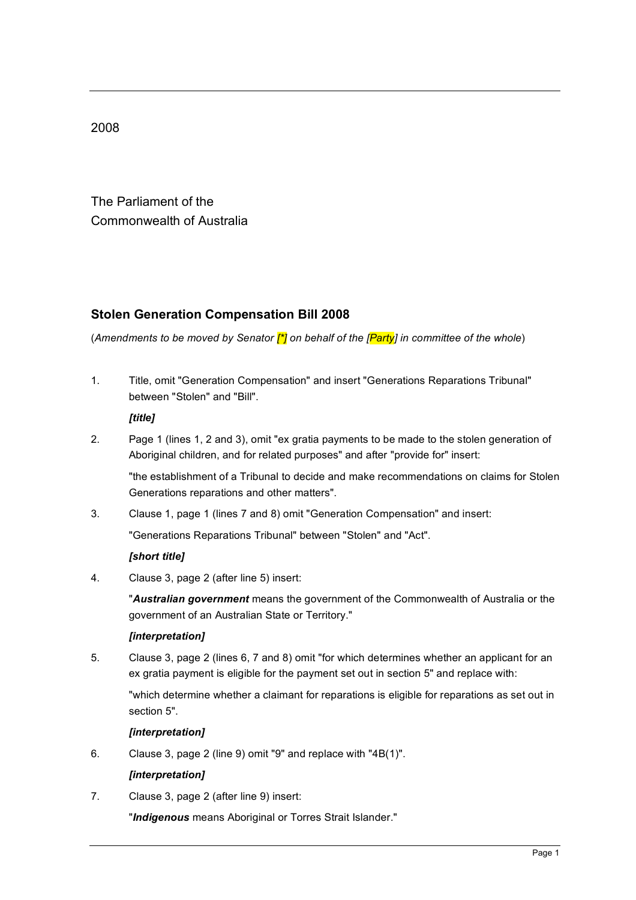2008

The Parliament of the Commonwealth of Australia

# **Stolen Generation Compensation Bill 2008**

(*Amendments to be moved by Senator [\*] on behalf of the [Party] in committee of the whole*)

1. Title, omit "Generation Compensation" and insert "Generations Reparations Tribunal" between "Stolen" and "Bill".

*[title]*

2. Page 1 (lines 1, 2 and 3), omit "ex gratia payments to be made to the stolen generation of Aboriginal children, and for related purposes" and after "provide for" insert:

"the establishment of a Tribunal to decide and make recommendations on claims for Stolen Generations reparations and other matters".

3. Clause 1, page 1 (lines 7 and 8) omit "Generation Compensation" and insert:

"Generations Reparations Tribunal" between "Stolen" and "Act".

#### *[short title]*

4. Clause 3, page 2 (after line 5) insert:

"*Australian government* means the government of the Commonwealth of Australia or the government of an Australian State or Territory."

#### *[interpretation]*

5. Clause 3, page 2 (lines 6, 7 and 8) omit "for which determines whether an applicant for an ex gratia payment is eligible for the payment set out in section 5" and replace with:

"which determine whether a claimant for reparations is eligible for reparations as set out in section 5".

#### *[interpretation]*

6. Clause 3, page 2 (line 9) omit "9" and replace with "4B(1)".

#### *[interpretation]*

7. Clause 3, page 2 (after line 9) insert:

"*Indigenous* means Aboriginal or Torres Strait Islander."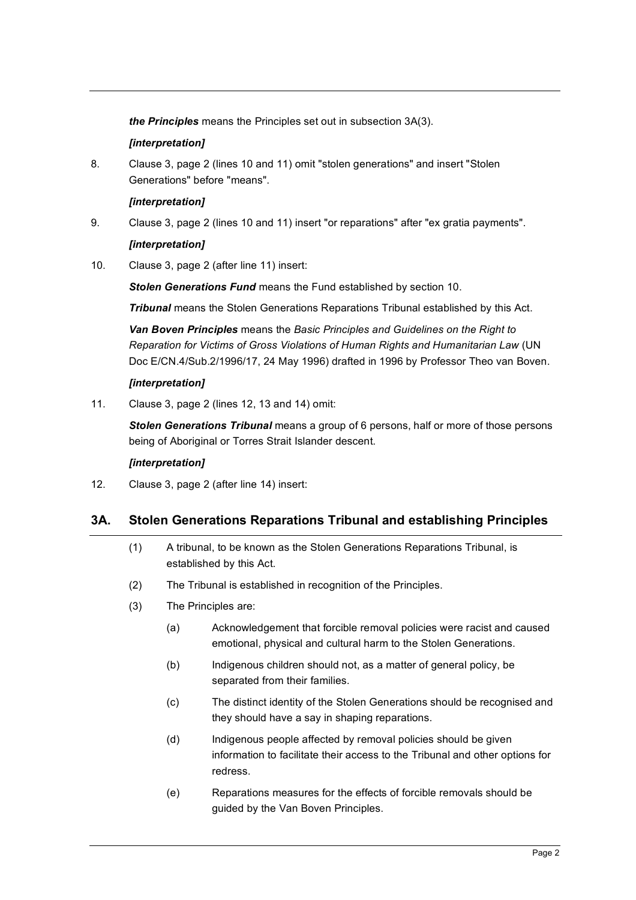*the Principles* means the Principles set out in subsection 3A(3).

#### *[interpretation]*

8. Clause 3, page 2 (lines 10 and 11) omit "stolen generations" and insert "Stolen Generations" before "means".

#### *[interpretation]*

9. Clause 3, page 2 (lines 10 and 11) insert "or reparations" after "ex gratia payments".

#### *[interpretation]*

10. Clause 3, page 2 (after line 11) insert:

*Stolen Generations Fund* means the Fund established by section 10.

*Tribunal* means the Stolen Generations Reparations Tribunal established by this Act.

*Van Boven Principles* means the *Basic Principles and Guidelines on the Right to Reparation for Victims of Gross Violations of Human Rights and Humanitarian Law* (UN Doc E/CN.4/Sub.2/1996/17, 24 May 1996) drafted in 1996 by Professor Theo van Boven.

#### *[interpretation]*

11. Clause 3, page 2 (lines 12, 13 and 14) omit:

*Stolen Generations Tribunal* means a group of 6 persons, half or more of those persons being of Aboriginal or Torres Strait Islander descent.

#### *[interpretation]*

12. Clause 3, page 2 (after line 14) insert:

# **3A. Stolen Generations Reparations Tribunal and establishing Principles**

- (1) A tribunal, to be known as the Stolen Generations Reparations Tribunal, is established by this Act.
- (2) The Tribunal is established in recognition of the Principles.
- (3) The Principles are:
	- (a) Acknowledgement that forcible removal policies were racist and caused emotional, physical and cultural harm to the Stolen Generations.
	- (b) Indigenous children should not, as a matter of general policy, be separated from their families.
	- (c) The distinct identity of the Stolen Generations should be recognised and they should have a say in shaping reparations.
	- (d) Indigenous people affected by removal policies should be given information to facilitate their access to the Tribunal and other options for redress.
	- (e) Reparations measures for the effects of forcible removals should be guided by the Van Boven Principles.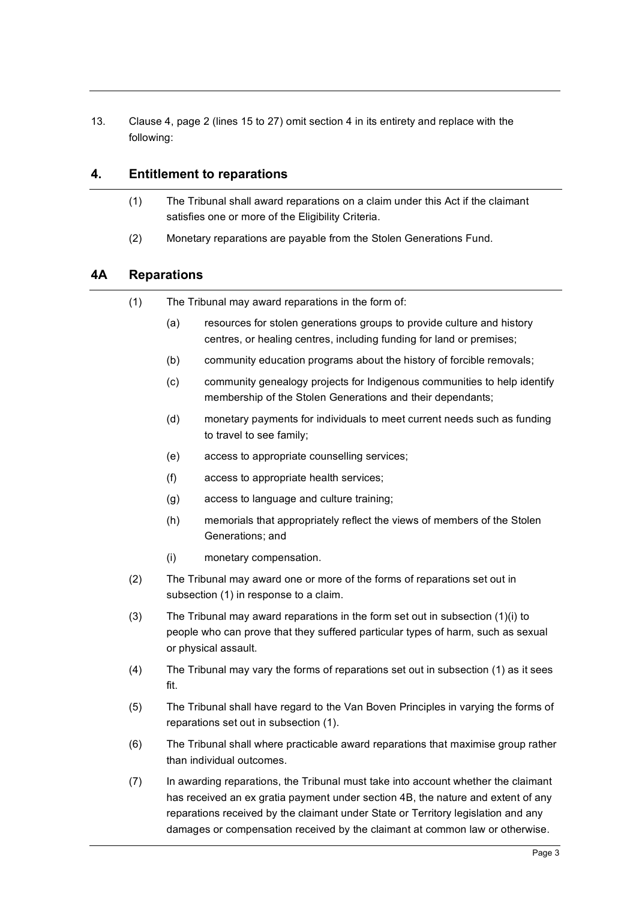13. Clause 4, page 2 (lines 15 to 27) omit section 4 in its entirety and replace with the following:

# **4. Entitlement to reparations**

- (1) The Tribunal shall award reparations on a claim under this Act if the claimant satisfies one or more of the Eligibility Criteria.
- (2) Monetary reparations are payable from the Stolen Generations Fund.

# **4A Reparations**

- (1) The Tribunal may award reparations in the form of:
	- (a) resources for stolen generations groups to provide culture and history centres, or healing centres, including funding for land or premises;
	- (b) community education programs about the history of forcible removals;
	- (c) community genealogy projects for Indigenous communities to help identify membership of the Stolen Generations and their dependants;
	- (d) monetary payments for individuals to meet current needs such as funding to travel to see family;
	- (e) access to appropriate counselling services;
	- (f) access to appropriate health services;
	- (g) access to language and culture training;
	- (h) memorials that appropriately reflect the views of members of the Stolen Generations; and
	- (i) monetary compensation.
- (2) The Tribunal may award one or more of the forms of reparations set out in subsection (1) in response to a claim.
- (3) The Tribunal may award reparations in the form set out in subsection (1)(i) to people who can prove that they suffered particular types of harm, such as sexual or physical assault.
- (4) The Tribunal may vary the forms of reparations set out in subsection (1) as it sees fit.
- (5) The Tribunal shall have regard to the Van Boven Principles in varying the forms of reparations set out in subsection (1).
- (6) The Tribunal shall where practicable award reparations that maximise group rather than individual outcomes.
- (7) In awarding reparations, the Tribunal must take into account whether the claimant has received an ex gratia payment under section 4B, the nature and extent of any reparations received by the claimant under State or Territory legislation and any damages or compensation received by the claimant at common law or otherwise.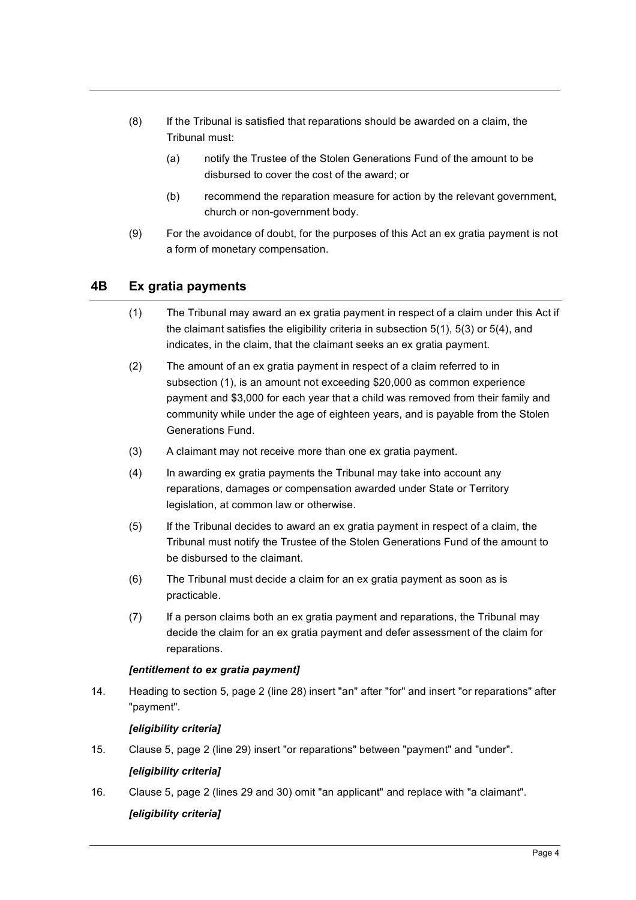- (8) If the Tribunal is satisfied that reparations should be awarded on a claim, the Tribunal must:
	- (a) notify the Trustee of the Stolen Generations Fund of the amount to be disbursed to cover the cost of the award; or
	- (b) recommend the reparation measure for action by the relevant government, church or non-government body.
- (9) For the avoidance of doubt, for the purposes of this Act an ex gratia payment is not a form of monetary compensation.

# **4B Ex gratia payments**

- (1) The Tribunal may award an ex gratia payment in respect of a claim under this Act if the claimant satisfies the eligibility criteria in subsection 5(1), 5(3) or 5(4), and indicates, in the claim, that the claimant seeks an ex gratia payment.
- (2) The amount of an ex gratia payment in respect of a claim referred to in subsection (1), is an amount not exceeding \$20,000 as common experience payment and \$3,000 for each year that a child was removed from their family and community while under the age of eighteen years, and is payable from the Stolen Generations Fund.
- (3) A claimant may not receive more than one ex gratia payment.
- (4) In awarding ex gratia payments the Tribunal may take into account any reparations, damages or compensation awarded under State or Territory legislation, at common law or otherwise.
- (5) If the Tribunal decides to award an ex gratia payment in respect of a claim, the Tribunal must notify the Trustee of the Stolen Generations Fund of the amount to be disbursed to the claimant.
- (6) The Tribunal must decide a claim for an ex gratia payment as soon as is practicable.
- (7) If a person claims both an ex gratia payment and reparations, the Tribunal may decide the claim for an ex gratia payment and defer assessment of the claim for reparations.

#### *[entitlement to ex gratia payment]*

14. Heading to section 5, page 2 (line 28) insert "an" after "for" and insert "or reparations" after "payment".

#### *[eligibility criteria]*

15. Clause 5, page 2 (line 29) insert "or reparations" between "payment" and "under".

#### *[eligibility criteria]*

16. Clause 5, page 2 (lines 29 and 30) omit "an applicant" and replace with "a claimant".

#### *[eligibility criteria]*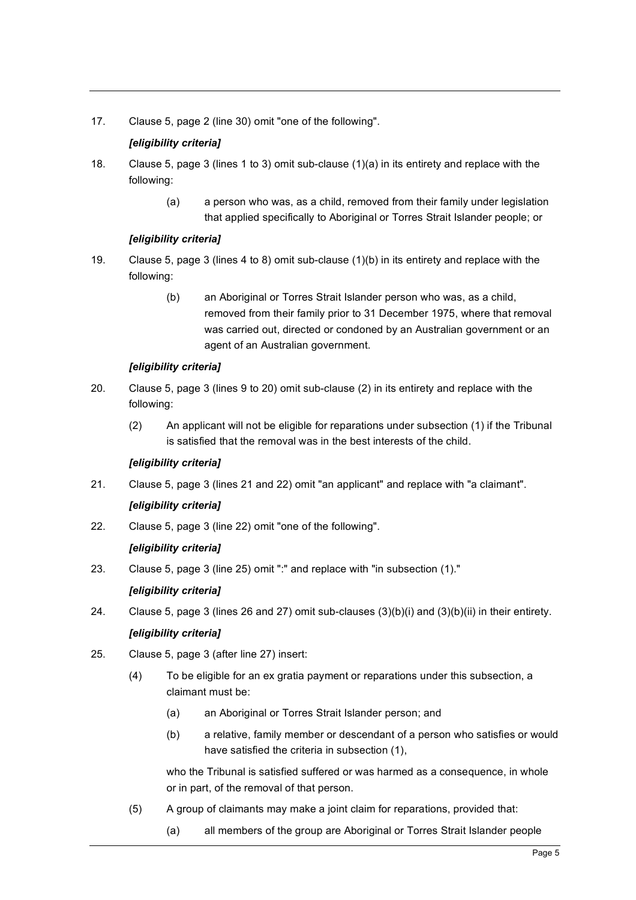17. Clause 5, page 2 (line 30) omit "one of the following".

#### *[eligibility criteria]*

- 18. Clause 5, page 3 (lines 1 to 3) omit sub-clause (1)(a) in its entirety and replace with the following:
	- (a) a person who was, as a child, removed from their family under legislation that applied specifically to Aboriginal or Torres Strait Islander people; or

#### *[eligibility criteria]*

- 19. Clause 5, page 3 (lines 4 to 8) omit sub-clause (1)(b) in its entirety and replace with the following:
	- (b) an Aboriginal or Torres Strait Islander person who was, as a child, removed from their family prior to 31 December 1975, where that removal was carried out, directed or condoned by an Australian government or an agent of an Australian government.

#### *[eligibility criteria]*

- 20. Clause 5, page 3 (lines 9 to 20) omit sub-clause (2) in its entirety and replace with the following:
	- (2) An applicant will not be eligible for reparations under subsection (1) if the Tribunal is satisfied that the removal was in the best interests of the child.

#### *[eligibility criteria]*

21. Clause 5, page 3 (lines 21 and 22) omit "an applicant" and replace with "a claimant".

#### *[eligibility criteria]*

22. Clause 5, page 3 (line 22) omit "one of the following".

#### *[eligibility criteria]*

23. Clause 5, page 3 (line 25) omit ":" and replace with "in subsection (1)."

#### *[eligibility criteria]*

24. Clause 5, page 3 (lines 26 and 27) omit sub-clauses (3)(b)(i) and (3)(b)(ii) in their entirety.

#### *[eligibility criteria]*

- 25. Clause 5, page 3 (after line 27) insert:
	- (4) To be eligible for an ex gratia payment or reparations under this subsection, a claimant must be:
		- (a) an Aboriginal or Torres Strait Islander person; and
		- (b) a relative, family member or descendant of a person who satisfies or would have satisfied the criteria in subsection (1),

who the Tribunal is satisfied suffered or was harmed as a consequence, in whole or in part, of the removal of that person.

- (5) A group of claimants may make a joint claim for reparations, provided that:
	- (a) all members of the group are Aboriginal or Torres Strait Islander people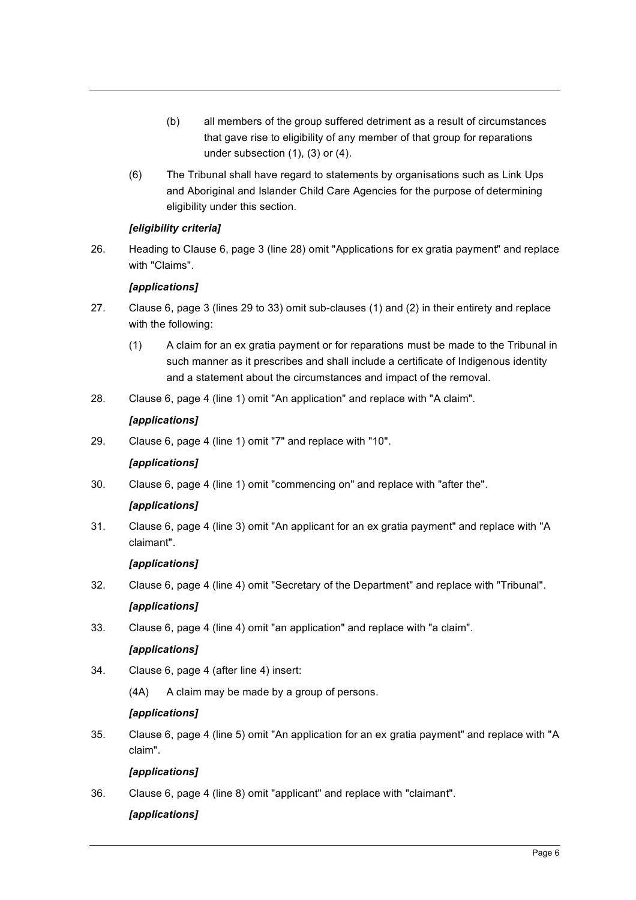- (b) all members of the group suffered detriment as a result of circumstances that gave rise to eligibility of any member of that group for reparations under subsection (1), (3) or (4).
- (6) The Tribunal shall have regard to statements by organisations such as Link Ups and Aboriginal and Islander Child Care Agencies for the purpose of determining eligibility under this section.

#### *[eligibility criteria]*

26. Heading to Clause 6, page 3 (line 28) omit "Applications for ex gratia payment" and replace with "Claims".

#### *[applications]*

- 27. Clause 6, page 3 (lines 29 to 33) omit sub-clauses (1) and (2) in their entirety and replace with the following:
	- (1) A claim for an ex gratia payment or for reparations must be made to the Tribunal in such manner as it prescribes and shall include a certificate of Indigenous identity and a statement about the circumstances and impact of the removal.
- 28. Clause 6, page 4 (line 1) omit "An application" and replace with "A claim".

#### *[applications]*

29. Clause 6, page 4 (line 1) omit "7" and replace with "10".

#### *[applications]*

30. Clause 6, page 4 (line 1) omit "commencing on" and replace with "after the".

#### *[applications]*

31. Clause 6, page 4 (line 3) omit "An applicant for an ex gratia payment" and replace with "A claimant".

#### *[applications]*

- 32. Clause 6, page 4 (line 4) omit "Secretary of the Department" and replace with "Tribunal". *[applications]*
- 33. Clause 6, page 4 (line 4) omit "an application" and replace with "a claim".

#### *[applications]*

- 34. Clause 6, page 4 (after line 4) insert:
	- (4A) A claim may be made by a group of persons.

#### *[applications]*

35. Clause 6, page 4 (line 5) omit "An application for an ex gratia payment" and replace with "A claim".

#### *[applications]*

36. Clause 6, page 4 (line 8) omit "applicant" and replace with "claimant".

#### *[applications]*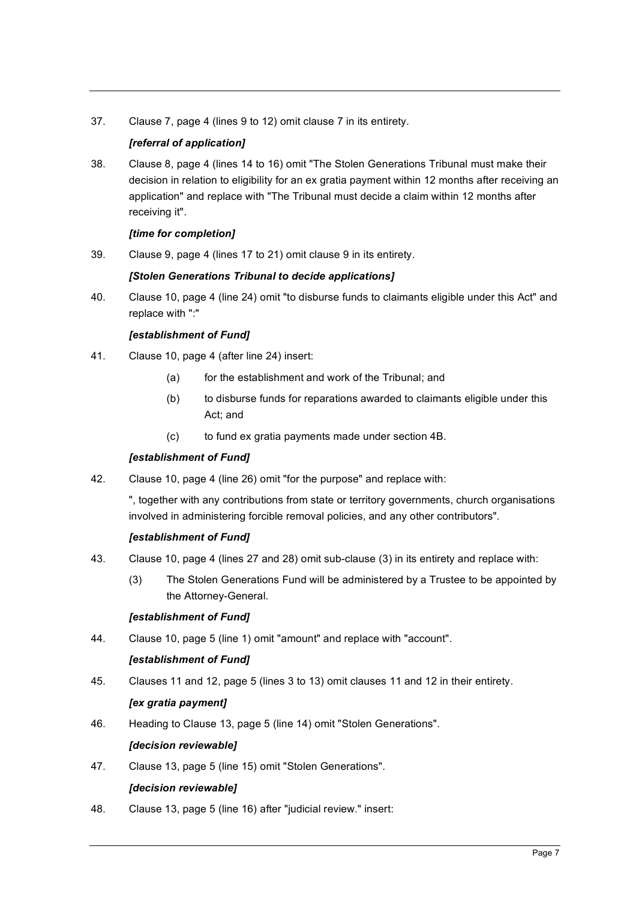37. Clause 7, page 4 (lines 9 to 12) omit clause 7 in its entirety.

# *[referral of application]*

38. Clause 8, page 4 (lines 14 to 16) omit "The Stolen Generations Tribunal must make their decision in relation to eligibility for an ex gratia payment within 12 months after receiving an application" and replace with "The Tribunal must decide a claim within 12 months after receiving it".

#### *[time for completion]*

39. Clause 9, page 4 (lines 17 to 21) omit clause 9 in its entirety.

#### *[Stolen Generations Tribunal to decide applications]*

40. Clause 10, page 4 (line 24) omit "to disburse funds to claimants eligible under this Act" and replace with ":"

#### *[establishment of Fund]*

- 41. Clause 10, page 4 (after line 24) insert:
	- (a) for the establishment and work of the Tribunal; and
	- (b) to disburse funds for reparations awarded to claimants eligible under this Act; and
	- (c) to fund ex gratia payments made under section 4B.

#### *[establishment of Fund]*

42. Clause 10, page 4 (line 26) omit "for the purpose" and replace with:

", together with any contributions from state or territory governments, church organisations involved in administering forcible removal policies, and any other contributors".

#### *[establishment of Fund]*

- 43. Clause 10, page 4 (lines 27 and 28) omit sub-clause (3) in its entirety and replace with:
	- (3) The Stolen Generations Fund will be administered by a Trustee to be appointed by the Attorney-General.

#### *[establishment of Fund]*

44. Clause 10, page 5 (line 1) omit "amount" and replace with "account".

#### *[establishment of Fund]*

45. Clauses 11 and 12, page 5 (lines 3 to 13) omit clauses 11 and 12 in their entirety.

#### *[ex gratia payment]*

46. Heading to Clause 13, page 5 (line 14) omit "Stolen Generations".

#### *[decision reviewable]*

47. Clause 13, page 5 (line 15) omit "Stolen Generations".

#### *[decision reviewable]*

48. Clause 13, page 5 (line 16) after "judicial review." insert: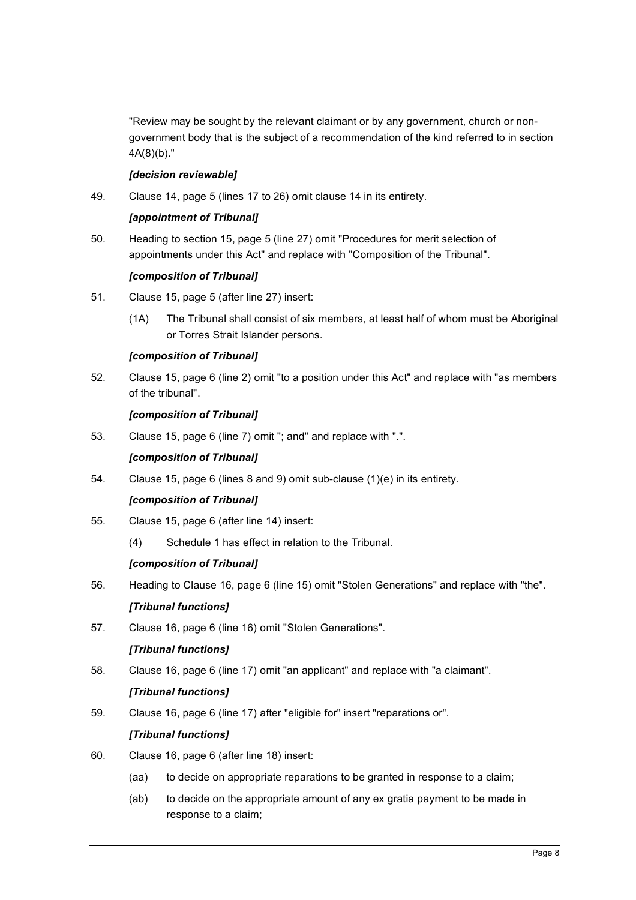"Review may be sought by the relevant claimant or by any government, church or nongovernment body that is the subject of a recommendation of the kind referred to in section 4A(8)(b)."

#### *[decision reviewable]*

49. Clause 14, page 5 (lines 17 to 26) omit clause 14 in its entirety.

#### *[appointment of Tribunal]*

50. Heading to section 15, page 5 (line 27) omit "Procedures for merit selection of appointments under this Act" and replace with "Composition of the Tribunal".

#### *[composition of Tribunal]*

- 51. Clause 15, page 5 (after line 27) insert:
	- (1A) The Tribunal shall consist of six members, at least half of whom must be Aboriginal or Torres Strait Islander persons.

#### *[composition of Tribunal]*

52. Clause 15, page 6 (line 2) omit "to a position under this Act" and replace with "as members of the tribunal".

#### *[composition of Tribunal]*

53. Clause 15, page 6 (line 7) omit "; and" and replace with ".".

#### *[composition of Tribunal]*

54. Clause 15, page 6 (lines 8 and 9) omit sub-clause (1)(e) in its entirety.

#### *[composition of Tribunal]*

- 55. Clause 15, page 6 (after line 14) insert:
	- (4) Schedule 1 has effect in relation to the Tribunal.

#### *[composition of Tribunal]*

56. Heading to Clause 16, page 6 (line 15) omit "Stolen Generations" and replace with "the".

#### *[Tribunal functions]*

57. Clause 16, page 6 (line 16) omit "Stolen Generations".

#### *[Tribunal functions]*

58. Clause 16, page 6 (line 17) omit "an applicant" and replace with "a claimant".

#### *[Tribunal functions]*

59. Clause 16, page 6 (line 17) after "eligible for" insert "reparations or".

#### *[Tribunal functions]*

- 60. Clause 16, page 6 (after line 18) insert:
	- (aa) to decide on appropriate reparations to be granted in response to a claim;
	- (ab) to decide on the appropriate amount of any ex gratia payment to be made in response to a claim;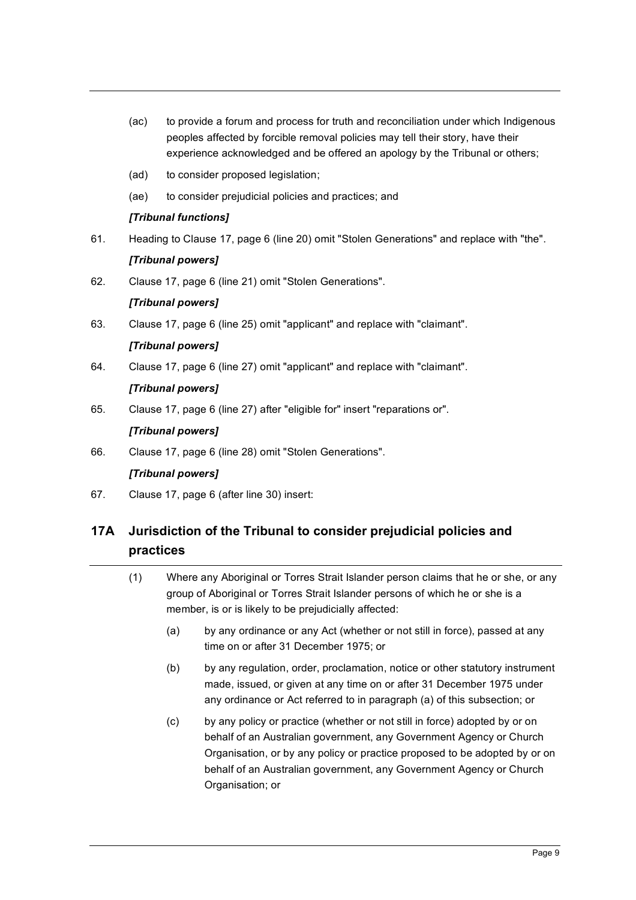- (ac) to provide a forum and process for truth and reconciliation under which Indigenous peoples affected by forcible removal policies may tell their story, have their experience acknowledged and be offered an apology by the Tribunal or others;
- (ad) to consider proposed legislation;
- (ae) to consider prejudicial policies and practices; and

# *[Tribunal functions]*

61. Heading to Clause 17, page 6 (line 20) omit "Stolen Generations" and replace with "the".

#### *[Tribunal powers]*

62. Clause 17, page 6 (line 21) omit "Stolen Generations".

# *[Tribunal powers]*

63. Clause 17, page 6 (line 25) omit "applicant" and replace with "claimant".

# *[Tribunal powers]*

64. Clause 17, page 6 (line 27) omit "applicant" and replace with "claimant".

# *[Tribunal powers]*

65. Clause 17, page 6 (line 27) after "eligible for" insert "reparations or".

# *[Tribunal powers]*

66. Clause 17, page 6 (line 28) omit "Stolen Generations".

#### *[Tribunal powers]*

67. Clause 17, page 6 (after line 30) insert:

# **17A Jurisdiction of the Tribunal to consider prejudicial policies and practices**

- (1) Where any Aboriginal or Torres Strait Islander person claims that he or she, or any group of Aboriginal or Torres Strait Islander persons of which he or she is a member, is or is likely to be prejudicially affected:
	- (a) by any ordinance or any Act (whether or not still in force), passed at any time on or after 31 December 1975; or
	- (b) by any regulation, order, proclamation, notice or other statutory instrument made, issued, or given at any time on or after 31 December 1975 under any ordinance or Act referred to in paragraph (a) of this subsection; or
	- (c) by any policy or practice (whether or not still in force) adopted by or on behalf of an Australian government, any Government Agency or Church Organisation, or by any policy or practice proposed to be adopted by or on behalf of an Australian government, any Government Agency or Church Organisation; or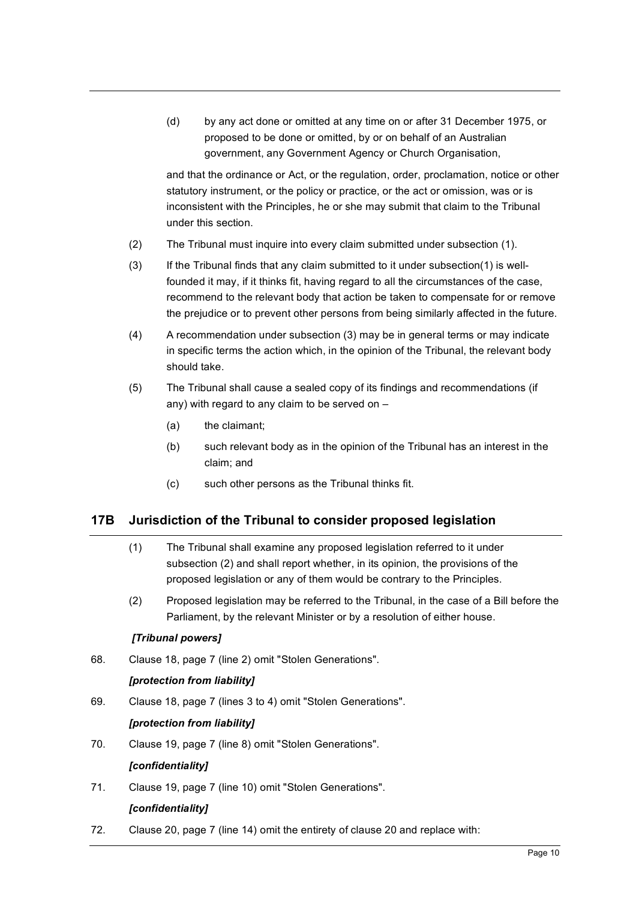(d) by any act done or omitted at any time on or after 31 December 1975, or proposed to be done or omitted, by or on behalf of an Australian government, any Government Agency or Church Organisation,

and that the ordinance or Act, or the regulation, order, proclamation, notice or other statutory instrument, or the policy or practice, or the act or omission, was or is inconsistent with the Principles, he or she may submit that claim to the Tribunal under this section.

- (2) The Tribunal must inquire into every claim submitted under subsection (1).
- (3) If the Tribunal finds that any claim submitted to it under subsection(1) is wellfounded it may, if it thinks fit, having regard to all the circumstances of the case, recommend to the relevant body that action be taken to compensate for or remove the prejudice or to prevent other persons from being similarly affected in the future.
- (4) A recommendation under subsection (3) may be in general terms or may indicate in specific terms the action which, in the opinion of the Tribunal, the relevant body should take.
- (5) The Tribunal shall cause a sealed copy of its findings and recommendations (if any) with regard to any claim to be served on –
	- (a) the claimant;
	- (b) such relevant body as in the opinion of the Tribunal has an interest in the claim; and
	- (c) such other persons as the Tribunal thinks fit.

# **17B Jurisdiction of the Tribunal to consider proposed legislation**

- (1) The Tribunal shall examine any proposed legislation referred to it under subsection (2) and shall report whether, in its opinion, the provisions of the proposed legislation or any of them would be contrary to the Principles.
- (2) Proposed legislation may be referred to the Tribunal, in the case of a Bill before the Parliament, by the relevant Minister or by a resolution of either house.

#### *[Tribunal powers]*

68. Clause 18, page 7 (line 2) omit "Stolen Generations".

#### *[protection from liability]*

69. Clause 18, page 7 (lines 3 to 4) omit "Stolen Generations".

#### *[protection from liability]*

70. Clause 19, page 7 (line 8) omit "Stolen Generations".

#### *[confidentiality]*

71. Clause 19, page 7 (line 10) omit "Stolen Generations".

#### *[confidentiality]*

72. Clause 20, page 7 (line 14) omit the entirety of clause 20 and replace with: